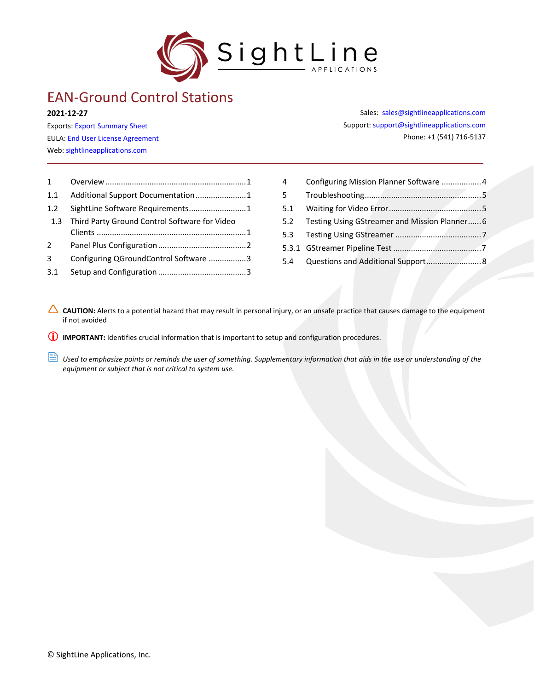

# EAN-Ground Control Stations

**2021-12-27**

Exports: [Export Summary Sheet](https://sightlineapplications.com/wp-content/uploads/Exports-Summary.pdf) EULA[: End User License Agreement](https://sightlineapplications.com/wp-content/uploads/SightLine-Product-License.pdf) Web[: sightlineapplications.com](http://sightlineapplications.com/support/software/)

Sales: [sales@sightlineapplications.com](mailto:sales@sightlineapplications.com) Support[: support@sightlineapplications.com](mailto:support@sightlineapplications.com) Phone: +1 (541) 716-5137

| $1 \quad$        |                                               |  |
|------------------|-----------------------------------------------|--|
| 1.1              | Additional Support Documentation1             |  |
| 1.2 <sub>2</sub> | SightLine Software Requirements1              |  |
| 1.3              | Third Party Ground Control Software for Video |  |
|                  |                                               |  |
| $2^{\circ}$      |                                               |  |
| 3                | Configuring QGroundControl Software 3         |  |
| 3.1              |                                               |  |

| 4           | Configuring Mission Planner Software  4       |  |
|-------------|-----------------------------------------------|--|
| $5^{\circ}$ |                                               |  |
| 5.1         |                                               |  |
| 5.2         | Testing Using GStreamer and Mission Planner 6 |  |
|             |                                               |  |
|             |                                               |  |
|             |                                               |  |
|             |                                               |  |

CAUTION: Alerts to a potential hazard that may result in personal injury, or an unsafe practice that causes damage to the equipment if not avoided

**IMPORTANT:** Identifies crucial information that is important to setup and configuration procedures.

**ED** Used to emphasize points or reminds the user of something. Supplementary information that aids in the use or understanding of the *equipment or subject that is not critical to system use.*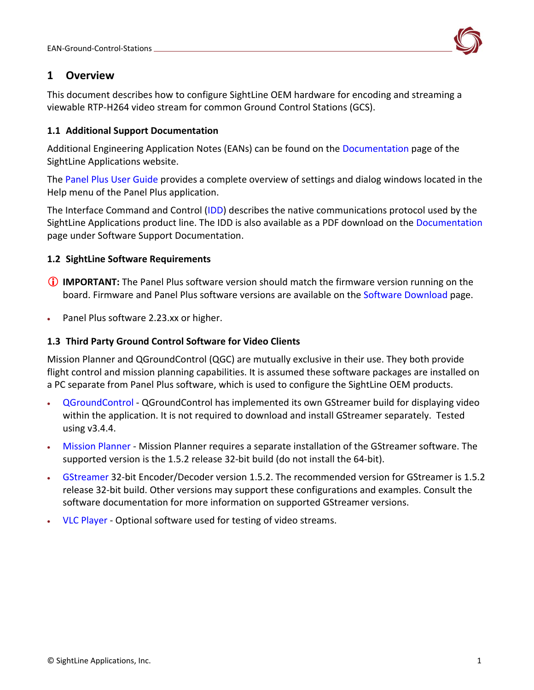

# <span id="page-1-0"></span>**1 Overview**

This document describes how to configure SightLine OEM hardware for encoding and streaming a viewable RTP-H264 video stream for common Ground Control Stations (GCS).

### <span id="page-1-1"></span>**1.1 Additional Support Documentation**

Additional Engineering Application Notes (EANs) can be found on the [Documentation](https://sightlineapplications.com/documentation/) page of the SightLine Applications website.

The [Panel Plus User Guide](https://sightlineapplications.com/downloads/) provides a complete overview of settings and dialog windows located in the Help menu of the Panel Plus application.

The Interface Command and Control [\(IDD\)](http://sightlineapplications.com/idd/) describes the native communications protocol used by the SightLine Applications product line. The IDD is also available as a PDF download on the [Documentation](https://sightlineapplications.com/documentation/) page under Software Support Documentation.

## <span id="page-1-2"></span>**1.2 SightLine Software Requirements**

- **IMPORTANT:** The Panel Plus software version should match the firmware version running on the board. Firmware and Panel Plus software versions are available on the [Software Download](https://sightlineapplications.com/downloads/) page.
- Panel Plus software 2.23.xx or higher.

### <span id="page-1-3"></span>**1.3 Third Party Ground Control Software for Video Clients**

Mission Planner and QGroundControl (QGC) are mutually exclusive in their use. They both provide flight control and mission planning capabilities. It is assumed these software packages are installed on a PC separate from Panel Plus software, which is used to configure the SightLine OEM products.

- [QGroundControl](http://qgroundcontrol.com/downloads/) QGroundControl has implemented its own GStreamer build for displaying video within the application. It is not required to download and install GStreamer separately. Tested using v3.4.4.
- [Mission Planner](http://ardupilot.org/planner/docs/mission-planner-installation.html) Mission Planner requires a separate installation of the GStreamer software. The supported version is the 1.5.2 release 32-bit build (do not install the 64-bit).
- [GStreamer](https://gstreamer.freedesktop.org/download/) 32-bit Encoder/Decoder version 1.5.2. The recommended version for GStreamer is 1.5.2 release 32-bit build. Other versions may support these configurations and examples. Consult the software documentation for more information on supported GStreamer versions.
- [VLC Player](http://www.videolan.org/vlc/index.html) Optional software used for testing of video streams.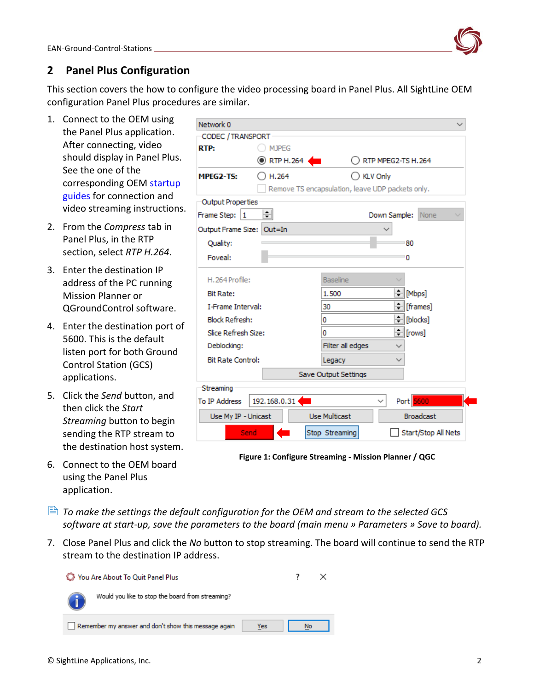

# <span id="page-2-0"></span>**2 Panel Plus Configuration**

This section covers the how to configure the video processing board in Panel Plus. All SightLine OEM configuration Panel Plus procedures are similar.

- 1. Connect to the OEM using the Panel Plus application. After connecting, video should display in Panel Plus. See the one of the corresponding OEM [startup](https://sightlineapplications.com/documentation/)  [guides](https://sightlineapplications.com/documentation/) for connection and video streaming instructions.
- 2. From the *Compress* tab in Panel Plus, in the RTP section, select *RTP H.264*.
- 3. Enter the destination IP address of the PC running Mission Planner or QGroundControl software.
- 4. Enter the destination port of 5600. This is the default listen port for both Ground Control Station (GCS) applications.
- 5. Click the *Send* button, and then click the *Start Streaming* button to begin sending the RTP stream to the destination host system.
- 6. Connect to the OEM board using the Panel Plus application.

| Network 0                                                       |                    |                                                  |                             |
|-----------------------------------------------------------------|--------------------|--------------------------------------------------|-----------------------------|
| CODEC / TRANSPORT                                               |                    |                                                  |                             |
| RTP:                                                            | <b>MJPEG</b>       |                                                  |                             |
|                                                                 | <b>O</b> RTP H.264 |                                                  | RTP MPEG2-TS H.264          |
| MPEG2-TS:                                                       | ) H.264            | $\bigcirc$ KLV Only                              |                             |
|                                                                 |                    | Remove TS encapsulation, leave UDP packets only. |                             |
| <b>Output Properties</b>                                        |                    |                                                  |                             |
| Frame Step:<br>11                                               | ≑∥                 |                                                  | Down Sample:<br><b>None</b> |
| Output Frame Size:                                              | Out=In             |                                                  |                             |
| Quality:                                                        |                    |                                                  | 80                          |
| Foveal:                                                         |                    |                                                  | 0                           |
|                                                                 |                    |                                                  |                             |
| H. 264 Profile:                                                 |                    | <b>Baseline</b>                                  |                             |
| <b>Bit Rate:</b>                                                |                    | 1.500                                            | <u> - [Mbps]</u>            |
| <b>I-Frame Interval:</b>                                        |                    | 30                                               | <mark>≑</mark> [frames]     |
| <b>Block Refresh:</b>                                           |                    | 0                                                | ≑ [blocks]                  |
| Slice Refresh Size:                                             |                    | 0                                                | $=$ [rows]                  |
| Deblocking:                                                     |                    | Filter all edges                                 |                             |
| <b>Bit Rate Control:</b>                                        |                    | Legacy                                           | ✓                           |
|                                                                 |                    | Save Output Settings                             |                             |
| Streaming                                                       |                    |                                                  |                             |
| To IP Address                                                   | 192.168.0.31       |                                                  | Port 5600                   |
| <b>Use Multicast</b><br><b>Broadcast</b><br>Use My IP - Unicast |                    |                                                  |                             |
|                                                                 |                    |                                                  |                             |
| Send                                                            |                    | Stop Streaming                                   | Start/Stop All Nets         |

**Figure 1: Configure Streaming - Mission Planner / QGC**

- *To make the settings the default configuration for the OEM and stream to the selected GCS software at start-up, save the parameters to the board (main menu » Parameters » Save to board).*
- 7. Close Panel Plus and click the *No* button to stop streaming. The board will continue to send the RTP stream to the destination IP address.

| You Are About To Quit Panel Plus                            |    |  |
|-------------------------------------------------------------|----|--|
| Would you like to stop the board from streaming?            |    |  |
| Remember my answer and don't show this message again<br>Yes | No |  |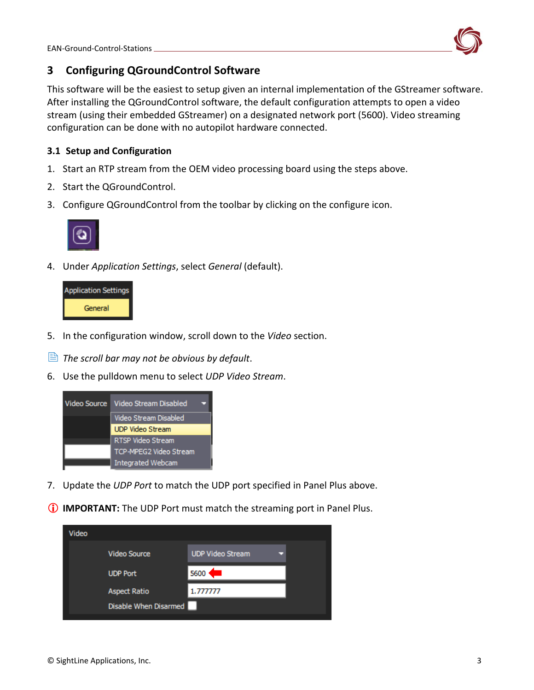<span id="page-3-0"></span>

This software will be the easiest to setup given an internal implementation of the GStreamer software. After installing the QGroundControl software, the default configuration attempts to open a video stream (using their embedded GStreamer) on a designated network port (5600). Video streaming configuration can be done with no autopilot hardware connected.

# <span id="page-3-1"></span>**3.1 Setup and Configuration**

- 1. Start an RTP stream from the OEM video processing board using the steps [above.](#page-2-0)
- 2. Start the QGroundControl.
- 3. Configure QGroundControl from the toolbar by clicking on the configure icon.



4. Under *Application Settings*, select *General* (default).



- 5. In the configuration window, scroll down to the *Video* section.
- *The scroll bar may not be obvious by default*.
- 6. Use the pulldown menu to select *UDP Video Stream*.



- 7. Update the *UDP Port* to match the UDP port specified in Panel Plus [above.](#page-2-0)
- **IMPORTANT:** The UDP Port must match the streaming port in Panel Plus.

| Video |                       |                         |  |
|-------|-----------------------|-------------------------|--|
|       | <b>Video Source</b>   | <b>UDP Video Stream</b> |  |
|       | <b>UDP Port</b>       | 5600                    |  |
|       | <b>Aspect Ratio</b>   | 1.777777                |  |
|       | Disable When Disarmed |                         |  |
|       |                       |                         |  |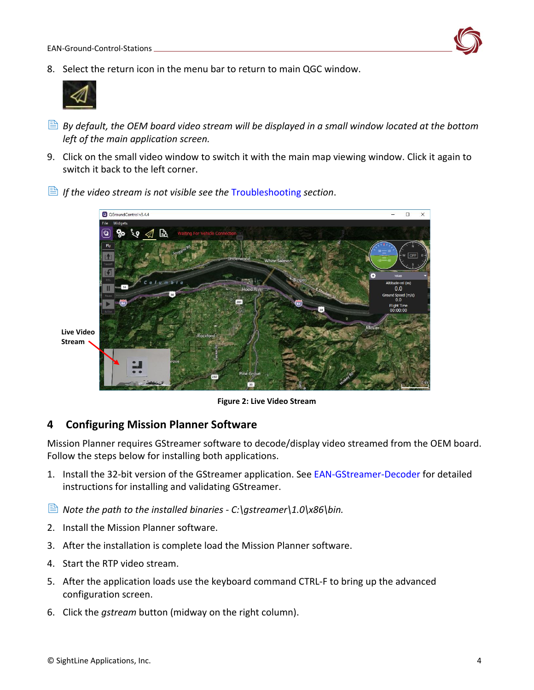

8. Select the return icon in the menu bar to return to main QGC window.



- *By default, the OEM board video stream will be displayed in a small window located at the bottom left of the main application screen.*
- 9. Click on the small video window to switch it with the main map viewing window. Click it again to switch it back to the left corner.



*If the video stream is not visible see the* [Troubleshooting](#page-5-0) *section*.

**Live Video Stream**

**Figure 2: Live Video Stream**

# <span id="page-4-0"></span>**4 Configuring Mission Planner Software**

Mission Planner requires GStreamer software to decode/display video streamed from the OEM board. Follow the steps below for installing both applications.

- 1. Install the 32-bit version of the GStreamer application. See [EAN-GStreamer-Decoder](http://sightlineapplications.com/wp-content/uploads/EAN-GStreamer-Decoder.pdf) for detailed instructions for installing and validating GStreamer.
- *Note the path to the installed binaries - C:\gstreamer\1.0\x86\bin.*
- 2. Install the Mission Planner software.
- 3. After the installation is complete load the Mission Planner software.
- 4. Start the RTP video stream.
- 5. After the application loads use the keyboard command CTRL-F to bring up the advanced configuration screen.
- 6. Click the *gstream* button (midway on the right column).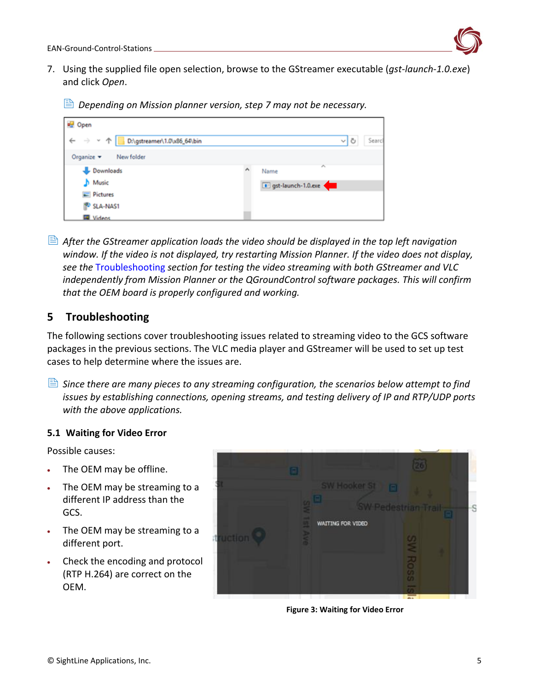

- 7. Using the supplied file open selection, browse to the GStreamer executable (*gst-launch-1.0.exe*) and click *Open*.
	- $\triangleq$  *Depending on Mission planner version, step 7 may not be necessary.*

| open                                                                |                    |        |
|---------------------------------------------------------------------|--------------------|--------|
| $\rightarrow$ $\sim$ $\uparrow$<br>←<br>D:\gstreamer\1.0\x86_64\bin | ৺াত                | Searcl |
| Organize v<br>New folder                                            |                    |        |
| Downloads                                                           | ×<br>Name          |        |
| Music                                                               | gst-launch-1.0.exe |        |
| $=$ Pictures                                                        |                    |        |
| SLA-NAS1                                                            |                    |        |
| <b>E</b> Videos                                                     |                    |        |

 *After the GStreamer application loads the video should be displayed in the top left navigation window. If the video is not displayed, try restarting Mission Planner. If the video does not display, see the* [Troubleshooting](#page-5-0) *section for testing the video streaming with both GStreamer and VLC independently from Mission Planner or the QGroundControl software packages. This will confirm that the OEM board is properly configured and working.* 

# <span id="page-5-0"></span>**5 Troubleshooting**

The following sections cover troubleshooting issues related to streaming video to the GCS software packages in the previous sections. The VLC media player and GStreamer will be used to set up test cases to help determine where the issues are.

 *Since there are many pieces to any streaming configuration, the scenarios below attempt to find issues by establishing connections, opening streams, and testing delivery of IP and RTP/UDP ports with the above applications.*

#### <span id="page-5-1"></span>**5.1 Waiting for Video Error**

Possible causes:

- The OEM may be offline.
- The OEM may be streaming to a different IP address than the GCS.
- The OEM may be streaming to a different port.
- Check the encoding and protocol (RTP H.264) are correct on the OEM.



**Figure 3: Waiting for Video Error**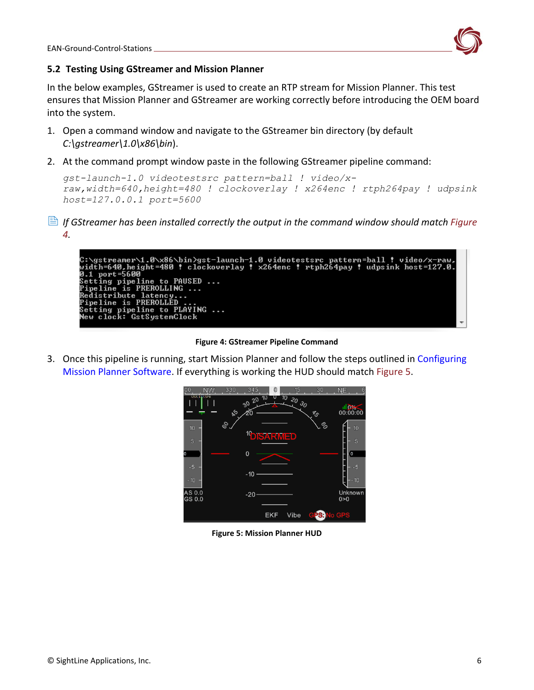

EAN-Ground-Control-Stations

#### <span id="page-6-0"></span>**5.2 Testing Using GStreamer and Mission Planner**

In the below examples, GStreamer is used to create an RTP stream for Mission Planner. This test ensures that Mission Planner and GStreamer are working correctly before introducing the OEM board into the system.

- 1. Open a command window and navigate to the GStreamer bin directory (by default *C:\gstreamer\1.0\x86\bin*).
- 2. At the command prompt window paste in the following GStreamer pipeline command:

```
gst-launch-1.0 videotestsrc pattern=ball ! video/x-
raw,width=640,height=480 ! clockoverlay ! x264enc ! rtph264pay ! udpsink 
host=127.0.0.1 port=5600
```
 *If GStreamer has been installed correctly the output in the command window should match Figure 4.*



**Figure 4: GStreamer Pipeline Command**

3. Once this pipeline is running, start Mission Planner and follow the steps outlined in [Configuring](#page-4-0)  [Mission Planner Software.](#page-4-0) If everything is working the HUD should match Figure 5.



**Figure 5: Mission Planner HUD**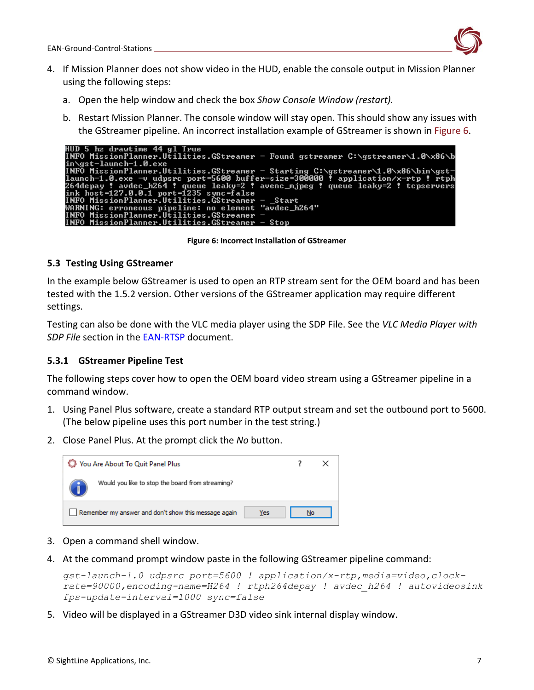

- 4. If Mission Planner does not show video in the HUD, enable the console output in Mission Planner using the following steps:
	- a. Open the help window and check the box *Show Console Window (restart).*
	- b. Restart Mission Planner. The console window will stay open. This should show any issues with the GStreamer pipeline. An incorrect installation example of GStreamer is shown in Figure 6.

| HUD 5 hz drawtime 44 gl True                                                     |
|----------------------------------------------------------------------------------|
| INFO MissionPlanner.Utilities.GStreamer - Found gstreamer C:\gstreamer\1.0\x86\b |
| in\gst-launch-1.0.exe                                                            |
| INFO MissionPlanner.Utilities.GStreamer - Starting C:\gstreamer\1.0\x86\bin\gst- |
| launch-1.0.exe -v udpsrc port=5600 buffer-size=300000 ! application/x-rtp ! rtph |
| 264depay ! avdec_h264 ! queue leaky=2 ! avenc_mjpeg ! queue leaky=2 ! tcpservers |
| ink $host=127.0.0.1$ $port=1235$ sync=false                                      |
| INFO MissionPlanner.Utilities.GStreamer - _Start                                 |
| WARNING: erroneous pipeline: no element "avdec_h264"                             |
| INFO MissionPlanner.Utilities.GStreamer -                                        |
| INFO MissionPlanner.Utilities.GStreamer $-$ Stop                                 |

**Figure 6: Incorrect Installation of GStreamer**

#### <span id="page-7-0"></span>**5.3 Testing Using GStreamer**

In the example below GStreamer is used to open an RTP stream sent for the OEM board and has been tested with the 1.5.2 version. Other versions of the GStreamer application may require different settings.

Testing can also be done with the VLC media player using the SDP File. See the *VLC Media Player with SDP File* section in the [EAN-RTSP](http://sightlineapplications.com/wp-content/uploads/EAN-RTSP.pdf) document.

#### <span id="page-7-1"></span>**5.3.1 GStreamer Pipeline Test**

The following steps cover how to open the OEM board video stream using a GStreamer pipeline in a command window.

- 1. Using Panel Plus software, create a standard RTP output stream and set the outbound port to 5600. (The below pipeline uses this port number in the test string.)
- 2. Close Panel Plus. At the prompt click the *No* button.



- 3. Open a command shell window.
- 4. At the command prompt window paste in the following GStreamer pipeline command:

*gst-launch-1.0 udpsrc port=5600 ! application/x-rtp,media=video,clockrate=90000,encoding-name=H264 ! rtph264depay ! avdec\_h264 ! autovideosink fps-update-interval=1000 sync=false*

5. Video will be displayed in a GStreamer D3D video sink internal display window.